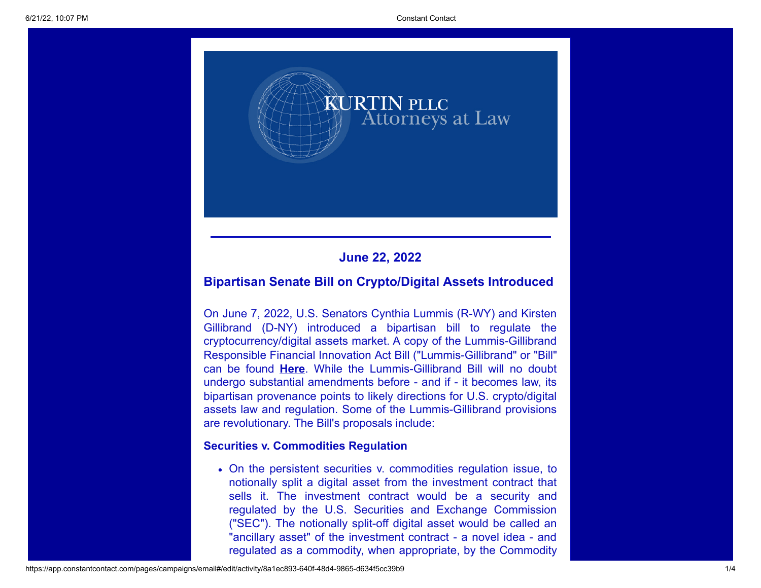

# **June 22, 2022**

# **Bipartisan Senate Bill on Crypto/Digital Assets Introduced**

On June 7, 2022, U.S. Senators Cynthia Lummis (R-WY) and Kirsten Gillibrand (D-NY) introduced a bipartisan bill to regulate the cryptocurrency/digital assets market. A copy of the Lummis-Gillibrand [Responsible Financial Innovation Act Bill](https://www.gillibrand.senate.gov/imo/media/doc/Lummis-Gillibrand%20Responsible%20Financial%20Innovation%20Act%20%5bFinal%5d.pdf) ("Lummis-Gillibrand" or "Bill" can be found **[Here](https://www.gillibrand.senate.gov/imo/media/doc/Lummis-Gillibrand%20Responsible%20Financial%20Innovation%20Act%20%5bFinal%5d.pdf)**. While the Lummis-Gillibrand Bill will no doubt undergo substantial amendments before - and if - it becomes law, its bipartisan provenance points to likely directions for U.S. crypto/digital assets law and regulation. Some of the Lummis-Gillibrand provisions are revolutionary. The Bill's proposals include:

### **Securities v. Commodities Regulation**

On the persistent securities v. commodities regulation issue, to notionally split a digital asset from the investment contract that sells it. The investment contract would be a security and regulated by the U.S. Securities and Exchange Commission ("SEC"). The notionally split-off digital asset would be called an "ancillary asset" of the investment contract - a novel idea - and regulated as a commodity, when appropriate, by the Commodity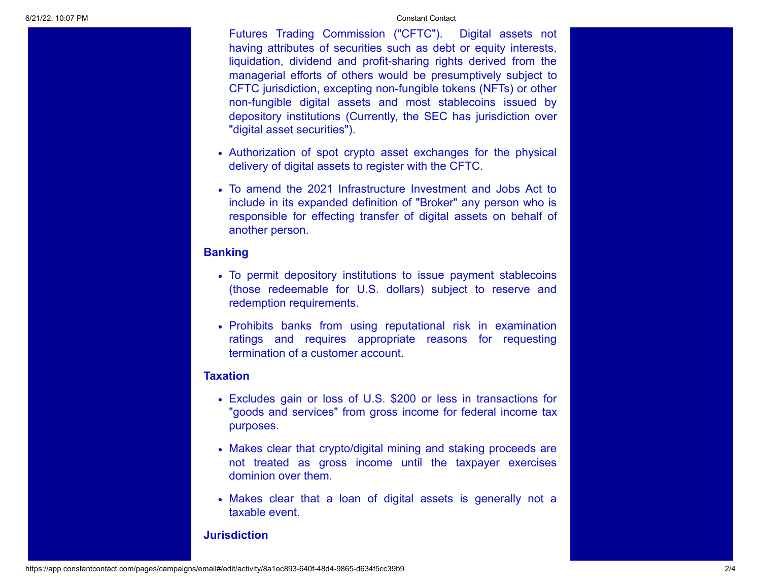Futures Trading Commission ("CFTC"). Digital assets not having attributes of securities such as debt or equity interests, liquidation, dividend and profit-sharing rights derived from the managerial efforts of others would be presumptively subject to CFTC jurisdiction, excepting non-fungible tokens (NFTs) or other non-fungible digital assets and most stablecoins issued by depository institutions (Currently, the SEC has jurisdiction over "digital asset securities").

- Authorization of spot crypto asset exchanges for the physical delivery of digital assets to register with the CFTC.
- To amend the 2021 Infrastructure Investment and Jobs Act to include in its expanded definition of "Broker" any person who is responsible for effecting transfer of digital assets on behalf of another person.

### **Banking**

- To permit depository institutions to issue payment stablecoins (those redeemable for U.S. dollars) subject to reserve and redemption requirements.
- Prohibits banks from using reputational risk in examination ratings and requires appropriate reasons for requesting termination of a customer account.

#### **Taxation**

- Excludes gain or loss of U.S. \$200 or less in transactions for "goods and services" from gross income for federal income tax purposes.
- Makes clear that crypto/digital mining and staking proceeds are not treated as gross income until the taxpayer exercises dominion over them.
- Makes clear that a loan of digital assets is generally not a taxable event.

#### **Jurisdiction**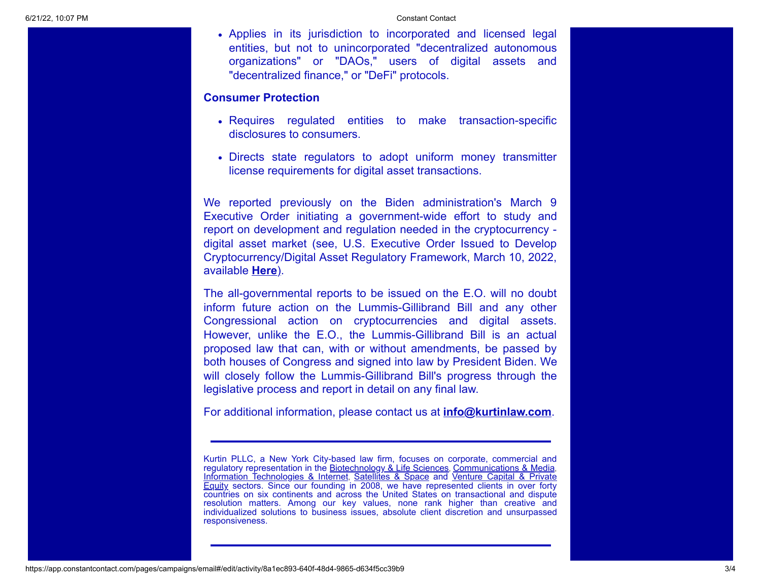Applies in its jurisdiction to incorporated and licensed legal entities, but not to unincorporated "decentralized autonomous organizations" or "DAOs," users of digital assets and "decentralized finance," or "DeFi" protocols.

#### **Consumer Protection**

- Requires regulated entities to make transaction-specific disclosures to consumers.
- Directs state regulators to adopt uniform money transmitter license requirements for digital asset transactions.

We reported previously on the Biden administration's March 9 Executive Order initiating a government-wide effort to study and report on development and regulation needed in the cryptocurrency digital asset market (see, U.S. Executive Order Issued to Develop Cryptocurrency/Digital Asset Regulatory Framework, March 10, 2022, available **[Here](https://kurtinlaw.com/wp-content/uploads/2022/04/U.S.-Executive-Order-Issued-to-Develop-Crypto-Digital-Assets-Regulatory-Framework-3.10.2022.pdf)**[\).](https://kurtinlaw.com/wp-content/uploads/2022/04/U.S.-Executive-Order-Issued-to-Develop-Crypto-Digital-Assets-Regulatory-Framework-3.10.2022.pdf)

The all-governmental reports to be issued on the E.O. will no doubt inform future action on the Lummis-Gillibrand Bill and any other Congressional action on cryptocurrencies and digital assets. However, unlike the E.O., the Lummis-Gillibrand Bill is an actual proposed law that can, with or without amendments, be passed by both houses of Congress and signed into law by President Biden. We will closely follow the Lummis-Gillibrand Bill's progress through the legislative process and report in detail on any final law.

For additional information, please contact us at **[info@kurtinlaw.com](mailto:info@kurtinlaw.com)**.

Kurtin PLLC, a New York City-based law firm, focuses on corporate, commercial and regulatory representation in the [Biotechnology & Life Sciences](https://kurtinlaw.com/industry-focus/biotech-life-sciences/), [Communications & Media](https://kurtinlaw.com/industry-focus/communications-media/), [Information Technologies & Internet](https://kurtinlaw.com/industry-focus/information-technologies/), [Satellites & Space](https://kurtinlaw.com/industry-focus/satellites-space/) and Venture Capital & Private Equity [sectors. Since our founding in 2008, we have represented clients in over forty](https://kurtinlaw.com/practice-areas/financial-strategic-investments/) countries on six continents and across the United States on transactional and dispute resolution matters. Among our key values, none rank higher than creative and individualized solutions to business issues, absolute client discretion and unsurpassed responsiveness.